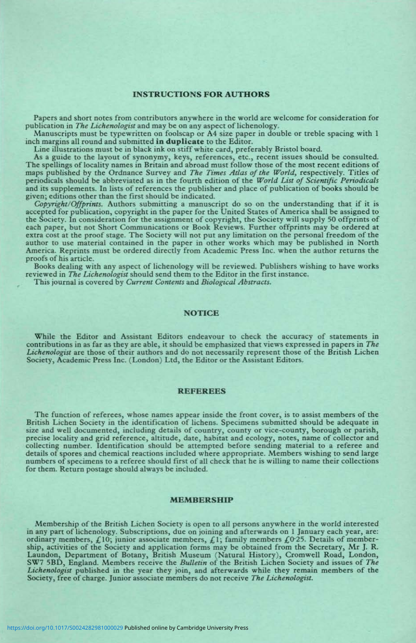## **INSTRUCTIONS FOR AUTHORS**

Papers and short notes from contributors anywhere in the world are welcome for consideration for publication in *The Lichenologist* and may be on any aspect of lichenology.

Manuscripts must be typewritten on foolscap or A4 size paper in double or treble spacing with 1 inch margins all round and submitted **in duplicate** to the Editor.

As a guide to the layout of synonymy, keys, references, etc., recent issues should be consulted.<br>The spellings of locality names in Britain and abroad must follow those of the most recent editions of maps published by the Ordnance Survey and *The Times Atlas of the World,* respectively. Titles of periodicals should be abbreviated as in the fourth edition of the World List of Scientific Periodicals<br>and its supplements. In lists of references the publisher and place of publication of books should be<br>given; editions o

accepted for publication, copyright in the paper for the United States of America shall be assigned to<br>the Society. In consideration for the assignment of copyright, the Society will supply 50 offprints of<br>each paper, but extra cost at the proof stage. The Society will not put any limitation on the personal freedom of the author to use material contained in the paper in other works which may be published in North America. Reprints must be ordered directly from Academic Press Inc. when the author returns the proofs of his article.

Books dealing with any aspect of lichenology will be reviewed. Publishers wishing to have works reviewed in *The Lichenologist* should send them to the Editor in the first instance.

This journal is covered by *Current Contents* and *Biological Abstracts.*

### **NOTICE**

While the Editor and Assistant Editors endeavour to check the accuracy of statements in contributions in as far as they are able, it should be emphasized that views expressed in papers in *The Lichenologist* are those of their authors and do not necessarily represent those of the British Lichen Society, Academic Press Inc. (London) Ltd, the Editor or the Assistant Editors.

## **REFEREES**

The function of referees, whose names appear inside the front cover, is to assist members of the British Lichen Society in the identification of lichens. Specimens submitted should be adequate in size and well documented, collecting number. Identification should be attempted before sending material to a referee and details of spores and chemical reactions included where appropriate. Members wishing to send large<br>numbers of specimens to a referee should first of all check that he is willing to name their collections<br>for them. Return p

#### **MEMBERSHIP**

Membership of the British Lichen Society is open to all persons anywhere in the world interested in any part of lichenology. Subscriptions, due on joining and afterwards on 1 January each year, are:<br>ordinary members, £10; junior associate members, £1; family members £0.25. Details of member-<br>ship, activities of the S *Lichenologist* published in the year they join, and afterwards while they remain members of the Society, free of charge. Junior associate members do not receive *The Lichenologist.*